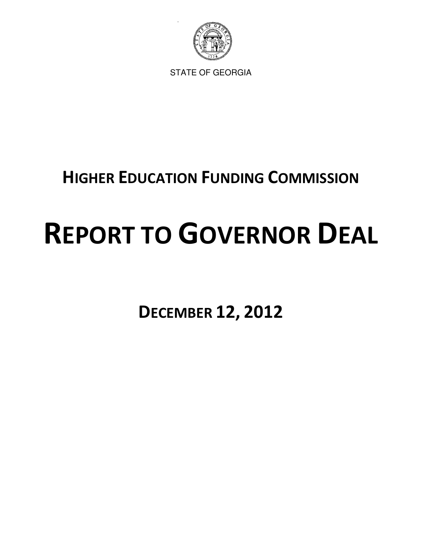

STATE OF GEORGIA

# HIGHER EDUCATION FUNDING COMMISSION

# REPORT TO GOVERNOR DEAL

DECEMBER 12, 2012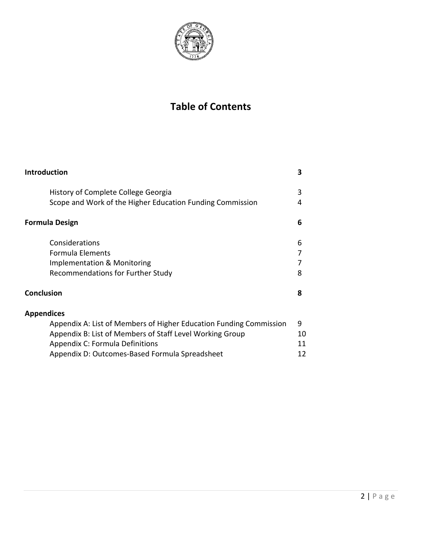

# Table of Contents

| <b>Introduction</b>                                                | 3  |
|--------------------------------------------------------------------|----|
| History of Complete College Georgia                                | 3  |
| Scope and Work of the Higher Education Funding Commission          | 4  |
| <b>Formula Design</b>                                              | 6  |
| Considerations                                                     | 6  |
| Formula Elements                                                   | 7  |
| Implementation & Monitoring                                        | 7  |
| Recommendations for Further Study                                  | 8  |
| <b>Conclusion</b>                                                  | 8  |
| <b>Appendices</b>                                                  |    |
| Appendix A: List of Members of Higher Education Funding Commission | 9  |
| Appendix B: List of Members of Staff Level Working Group           | 10 |
| <b>Appendix C: Formula Definitions</b>                             | 11 |
| Appendix D: Outcomes-Based Formula Spreadsheet                     | 12 |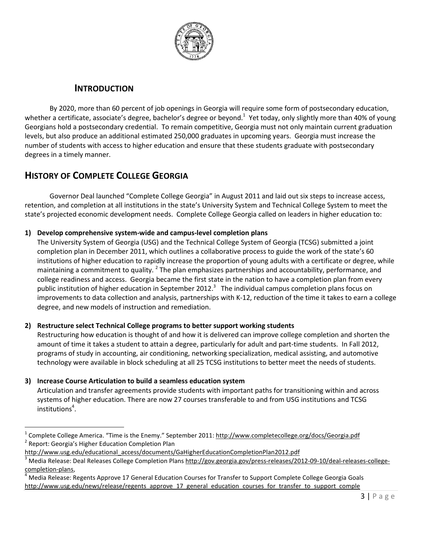

# INTRODUCTION

By 2020, more than 60 percent of job openings in Georgia will require some form of postsecondary education, whether a certificate, associate's degree, bachelor's degree or beyond.<sup>1</sup> Yet today, only slightly more than 40% of young Georgians hold a postsecondary credential. To remain competitive, Georgia must not only maintain current graduation levels, but also produce an additional estimated 250,000 graduates in upcoming years. Georgia must increase the number of students with access to higher education and ensure that these students graduate with postsecondary degrees in a timely manner.

# HISTORY OF COMPLETE COLLEGE GEORGIA

Governor Deal launched "Complete College Georgia" in August 2011 and laid out six steps to increase access, retention, and completion at all institutions in the state's University System and Technical College System to meet the state's projected economic development needs. Complete College Georgia called on leaders in higher education to:

# 1) Develop comprehensive system-wide and campus-level completion plans

The University System of Georgia (USG) and the Technical College System of Georgia (TCSG) submitted a joint completion plan in December 2011, which outlines a collaborative process to guide the work of the state's 60 institutions of higher education to rapidly increase the proportion of young adults with a certificate or degree, while maintaining a commitment to quality. <sup>2</sup> The plan emphasizes partnerships and accountability, performance, and college readiness and access. Georgia became the first state in the nation to have a completion plan from every public institution of higher education in September 2012.<sup>3</sup> The individual campus completion plans focus on improvements to data collection and analysis, partnerships with K-12, reduction of the time it takes to earn a college degree, and new models of instruction and remediation.

# 2) Restructure select Technical College programs to better support working students

Restructuring how education is thought of and how it is delivered can improve college completion and shorten the amount of time it takes a student to attain a degree, particularly for adult and part-time students. In Fall 2012, programs of study in accounting, air conditioning, networking specialization, medical assisting, and automotive technology were available in block scheduling at all 25 TCSG institutions to better meet the needs of students.

# 3) Increase Course Articulation to build a seamless education system

 $\overline{a}$ 

Articulation and transfer agreements provide students with important paths for transitioning within and across systems of higher education. There are now 27 courses transferable to and from USG institutions and TCSG institutions<sup>4</sup>.

<sup>1</sup> Complete College America. "Time is the Enemy." September 2011: http://www.completecollege.org/docs/Georgia.pdf <sup>2</sup> Report: Georgia's Higher Education Completion Plan

http://www.usg.edu/educational\_access/documents/GaHigherEducationCompletionPlan2012.pdf

<sup>3</sup> Media Release: Deal Releases College Completion Plans http://gov.georgia.gov/press-releases/2012-09-10/deal-releases-collegecompletion-plans,

<sup>4</sup> Media Release: Regents Approve 17 General Education Courses for Transfer to Support Complete College Georgia Goals http://www.usg.edu/news/release/regents\_approve\_17\_general\_education\_courses\_for\_transfer\_to\_support\_comple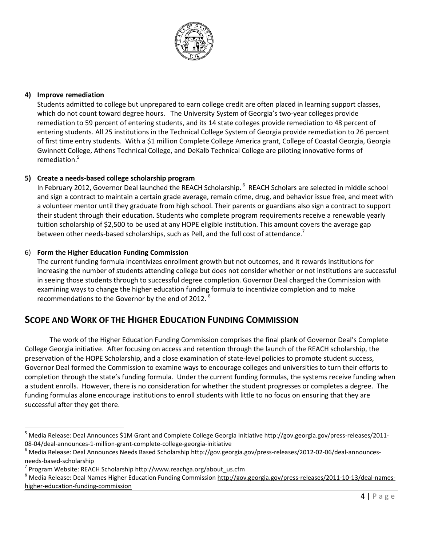

#### 4) Improve remediation

 $\overline{a}$ 

Students admitted to college but unprepared to earn college credit are often placed in learning support classes, which do not count toward degree hours. The University System of Georgia's two-year colleges provide remediation to 59 percent of entering students, and its 14 state colleges provide remediation to 48 percent of entering students. All 25 institutions in the Technical College System of Georgia provide remediation to 26 percent of first time entry students. With a \$1 million Complete College America grant, College of Coastal Georgia, Georgia Gwinnett College, Athens Technical College, and DeKalb Technical College are piloting innovative forms of remediation.<sup>5</sup>

#### 5) Create a needs-based college scholarship program

In February 2012, Governor Deal launched the REACH Scholarship.<sup>6</sup> REACH Scholars are selected in middle school and sign a contract to maintain a certain grade average, remain crime, drug, and behavior issue free, and meet with a volunteer mentor until they graduate from high school. Their parents or guardians also sign a contract to support their student through their education. Students who complete program requirements receive a renewable yearly tuition scholarship of \$2,500 to be used at any HOPE eligible institution. This amount covers the average gap between other needs-based scholarships, such as Pell, and the full cost of attendance.<sup>7</sup>

#### 6) Form the Higher Education Funding Commission

The current funding formula incentivizes enrollment growth but not outcomes, and it rewards institutions for increasing the number of students attending college but does not consider whether or not institutions are successful in seeing those students through to successful degree completion. Governor Deal charged the Commission with examining ways to change the higher education funding formula to incentivize completion and to make recommendations to the Governor by the end of 2012.<sup>8</sup>

# SCOPE AND WORK OF THE HIGHER EDUCATION FUNDING COMMISSION

The work of the Higher Education Funding Commission comprises the final plank of Governor Deal's Complete College Georgia initiative. After focusing on access and retention through the launch of the REACH scholarship, the preservation of the HOPE Scholarship, and a close examination of state-level policies to promote student success, Governor Deal formed the Commission to examine ways to encourage colleges and universities to turn their efforts to completion through the state's funding formula. Under the current funding formulas, the systems receive funding when a student enrolls. However, there is no consideration for whether the student progresses or completes a degree. The funding formulas alone encourage institutions to enroll students with little to no focus on ensuring that they are successful after they get there.

<sup>5</sup> Media Release: Deal Announces \$1M Grant and Complete College Georgia Initiative http://gov.georgia.gov/press-releases/2011- 08-04/deal-announces-1-million-grant-complete-college-georgia-initiative

<sup>&</sup>lt;sup>6</sup> Media Release: Deal Announces Needs Based Scholarship http://gov.georgia.gov/press-releases/2012-02-06/deal-announcesneeds-based-scholarship

<sup>7</sup> Program Website: REACH Scholarship http://www.reachga.org/about\_us.cfm

<sup>&</sup>lt;sup>8</sup> Media Release: Deal Names Higher Education Funding Commission http://gov.georgia.gov/press-releases/2011-10-13/deal-nameshigher-education-funding-commission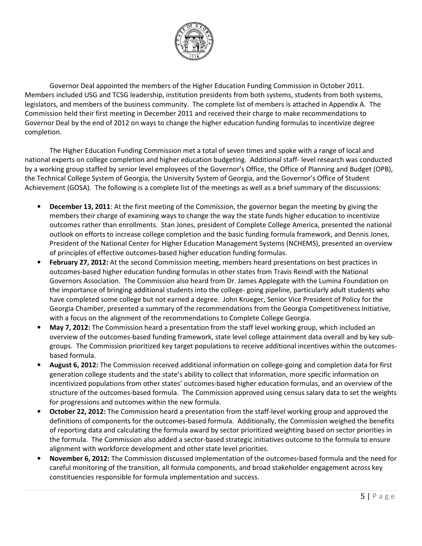

Governor Deal appointed the members of the Higher Education Funding Commission in October 2011. Members included USG and TCSG leadership, institution presidents from both systems, students from both systems, legislators, and members of the business community. The complete list of members is attached in Appendix A. The Commission held their first meeting in December 2011 and received their charge to make recommendations to Governor Deal by the end of 2012 on ways to change the higher education funding formulas to incentivize degree completion.

 The Higher Education Funding Commission met a total of seven times and spoke with a range of local and national experts on college completion and higher education budgeting. Additional staff- level research was conducted by a working group staffed by senior level employees of the Governor's Office, the Office of Planning and Budget (OPB), the Technical College System of Georgia, the University System of Georgia, and the Governor's Office of Student Achievement (GOSA). The following is a complete list of the meetings as well as a brief summary of the discussions:

- **December 13, 2011**: At the first meeting of the Commission, the governor began the meeting by giving the members their charge of examining ways to change the way the state funds higher education to incentivize outcomes rather than enrollments. Stan Jones, president of Complete College America, presented the national outlook on efforts to increase college completion and the basic funding formula framework, and Dennis Jones, President of the National Center for Higher Education Management Systems (NCHEMS), presented an overview of principles of effective outcomes-based higher education funding formulas.
- February 27, 2012: At the second Commission meeting, members heard presentations on best practices in outcomes-based higher education funding formulas in other states from Travis Reindl with the National Governors Association. The Commission also heard from Dr. James Applegate with the Lumina Foundation on the importance of bringing additional students into the college- going pipeline, particularly adult students who have completed some college but not earned a degree. John Krueger, Senior Vice President of Policy for the Georgia Chamber, presented a summary of the recommendations from the Georgia Competitiveness Initiative, with a focus on the alignment of the recommendations to Complete College Georgia.
- May 7, 2012: The Commission heard a presentation from the staff level working group, which included an overview of the outcomes-based funding framework, state level college attainment data overall and by key subgroups. The Commission prioritized key target populations to receive additional incentives within the outcomesbased formula.
- August 6, 2012: The Commission received additional information on college-going and completion data for first generation college students and the state's ability to collect that information, more specific information on incentivized populations from other states' outcomes-based higher education formulas, and an overview of the structure of the outcomes-based formula. The Commission approved using census salary data to set the weights for progressions and outcomes within the new formula.
- **October 22, 2012:** The Commission heard a presentation from the staff-level working group and approved the definitions of components for the outcomes-based formula. Additionally, the Commission weighed the benefits of reporting data and calculating the formula award by sector prioritized weighting based on sector priorities in the formula. The Commission also added a sector-based strategic initiatives outcome to the formula to ensure alignment with workforce development and other state level priorities.
- November 6, 2012: The Commission discussed implementation of the outcomes-based formula and the need for careful monitoring of the transition, all formula components, and broad stakeholder engagement across key constituencies responsible for formula implementation and success.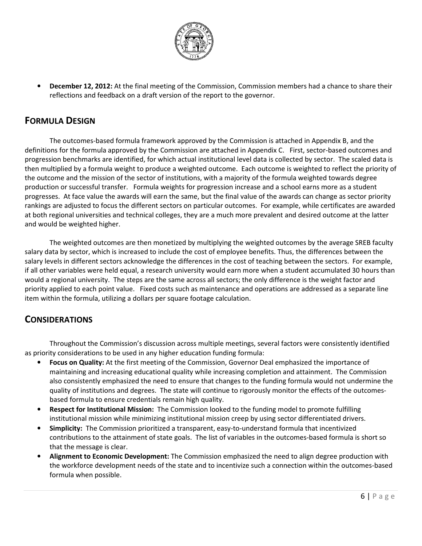

• December 12, 2012: At the final meeting of the Commission, Commission members had a chance to share their reflections and feedback on a draft version of the report to the governor.

# FORMULA DESIGN

The outcomes-based formula framework approved by the Commission is attached in Appendix B, and the definitions for the formula approved by the Commission are attached in Appendix C. First, sector-based outcomes and progression benchmarks are identified, for which actual institutional level data is collected by sector. The scaled data is then multiplied by a formula weight to produce a weighted outcome. Each outcome is weighted to reflect the priority of the outcome and the mission of the sector of institutions, with a majority of the formula weighted towards degree production or successful transfer. Formula weights for progression increase and a school earns more as a student progresses. At face value the awards will earn the same, but the final value of the awards can change as sector priority rankings are adjusted to focus the different sectors on particular outcomes. For example, while certificates are awarded at both regional universities and technical colleges, they are a much more prevalent and desired outcome at the latter and would be weighted higher.

The weighted outcomes are then monetized by multiplying the weighted outcomes by the average SREB faculty salary data by sector, which is increased to include the cost of employee benefits. Thus, the differences between the salary levels in different sectors acknowledge the differences in the cost of teaching between the sectors. For example, if all other variables were held equal, a research university would earn more when a student accumulated 30 hours than would a regional university. The steps are the same across all sectors; the only difference is the weight factor and priority applied to each point value. Fixed costs such as maintenance and operations are addressed as a separate line item within the formula, utilizing a dollars per square footage calculation.

# **CONSIDERATIONS**

 Throughout the Commission's discussion across multiple meetings, several factors were consistently identified as priority considerations to be used in any higher education funding formula:

- Focus on Quality: At the first meeting of the Commission, Governor Deal emphasized the importance of maintaining and increasing educational quality while increasing completion and attainment. The Commission also consistently emphasized the need to ensure that changes to the funding formula would not undermine the quality of institutions and degrees. The state will continue to rigorously monitor the effects of the outcomesbased formula to ensure credentials remain high quality.
- Respect for Institutional Mission: The Commission looked to the funding model to promote fulfilling institutional mission while minimizing institutional mission creep by using sector differentiated drivers.
- Simplicity: The Commission prioritized a transparent, easy-to-understand formula that incentivized contributions to the attainment of state goals. The list of variables in the outcomes-based formula is short so that the message is clear.
- Alignment to Economic Development: The Commission emphasized the need to align degree production with the workforce development needs of the state and to incentivize such a connection within the outcomes-based formula when possible.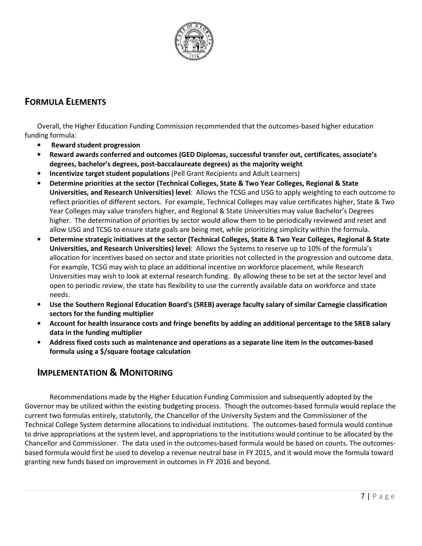

# FORMULA ELEMENTS

Overall, the Higher Education Funding Commission recommended that the outcomes-based higher education funding formula:

- Reward student progression
- Reward awards conferred and outcomes (GED Diplomas, successful transfer out, certificates, associate's degrees, bachelor's degrees, post-baccalaureate degrees) as the majority weight
- Incentivize target student populations (Pell Grant Recipients and Adult Learners)
- Determine priorities at the sector (Technical Colleges, State & Two Year Colleges, Regional & State Universities, and Research Universities) level: Allows the TCSG and USG to apply weighting to each outcome to reflect priorities of different sectors. For example, Technical Colleges may value certificates higher, State & Two Year Colleges may value transfers higher, and Regional & State Universities may value Bachelor's Degrees higher. The determination of priorities by sector would allow them to be periodically reviewed and reset and allow USG and TCSG to ensure state goals are being met, while prioritizing simplicity within the formula.
- Determine strategic initiatives at the sector (Technical Colleges, State & Two Year Colleges, Regional & State Universities, and Research Universities) level: Allows the Systems to reserve up to 10% of the formula's allocation for incentives based on sector and state priorities not collected in the progression and outcome data. For example, TCSG may wish to place an additional incentive on workforce placement, while Research Universities may wish to look at external research funding. By allowing these to be set at the sector level and open to periodic review, the state has flexibility to use the currently available data on workforce and state needs.
- Use the Southern Regional Education Board's (SREB) average faculty salary of similar Carnegie classification sectors for the funding multiplier
- Account for health insurance costs and fringe benefits by adding an additional percentage to the SREB salary data in the funding multiplier
- Address fixed costs such as maintenance and operations as a separate line item in the outcomes-based formula using a \$/square footage calculation

# IMPLEMENTATION & MONITORING

Recommendations made by the Higher Education Funding Commission and subsequently adopted by the Governor may be utilized within the existing budgeting process. Though the outcomes-based formula would replace the current two formulas entirely, statutorily, the Chancellor of the University System and the Commissioner of the Technical College System determine allocations to individual institutions. The outcomes-based formula would continue to drive appropriations at the system level, and appropriations to the institutions would continue to be allocated by the Chancellor and Commissioner. The data used in the outcomes-based formula would be based on counts. The outcomesbased formula would first be used to develop a revenue neutral base in FY 2015, and it would move the formula toward granting new funds based on improvement in outcomes in FY 2016 and beyond.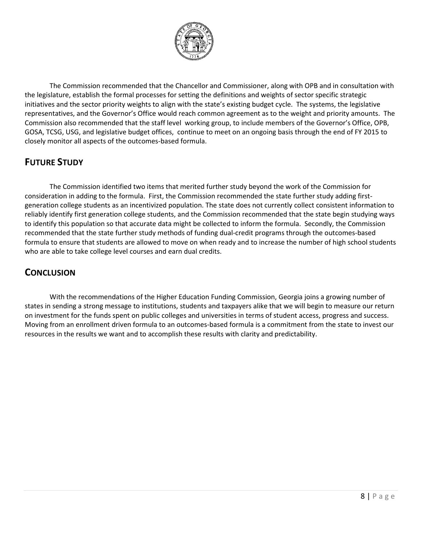

The Commission recommended that the Chancellor and Commissioner, along with OPB and in consultation with the legislature, establish the formal processes for setting the definitions and weights of sector specific strategic initiatives and the sector priority weights to align with the state's existing budget cycle. The systems, the legislative representatives, and the Governor's Office would reach common agreement as to the weight and priority amounts. The Commission also recommended that the staff level working group, to include members of the Governor's Office, OPB, GOSA, TCSG, USG, and legislative budget offices, continue to meet on an ongoing basis through the end of FY 2015 to closely monitor all aspects of the outcomes-based formula.

# FUTURE STUDY

The Commission identified two items that merited further study beyond the work of the Commission for consideration in adding to the formula. First, the Commission recommended the state further study adding firstgeneration college students as an incentivized population. The state does not currently collect consistent information to reliably identify first generation college students, and the Commission recommended that the state begin studying ways to identify this population so that accurate data might be collected to inform the formula. Secondly, the Commission recommended that the state further study methods of funding dual-credit programs through the outcomes-based formula to ensure that students are allowed to move on when ready and to increase the number of high school students who are able to take college level courses and earn dual credits.

# **CONCLUSION**

With the recommendations of the Higher Education Funding Commission, Georgia joins a growing number of states in sending a strong message to institutions, students and taxpayers alike that we will begin to measure our return on investment for the funds spent on public colleges and universities in terms of student access, progress and success. Moving from an enrollment driven formula to an outcomes-based formula is a commitment from the state to invest our resources in the results we want and to accomplish these results with clarity and predictability.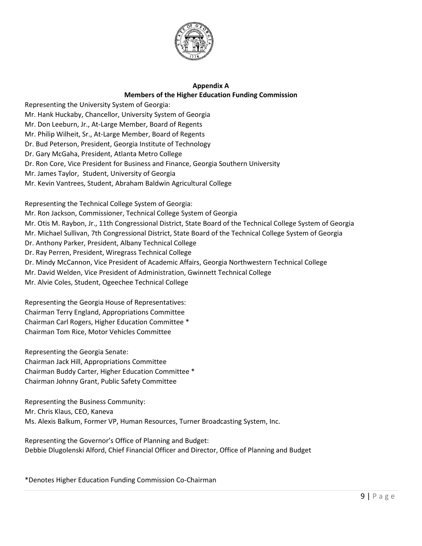

### Appendix A Members of the Higher Education Funding Commission

Representing the University System of Georgia: Mr. Hank Huckaby, Chancellor, University System of Georgia Mr. Don Leeburn, Jr., At-Large Member, Board of Regents Mr. Philip Wilheit, Sr., At-Large Member, Board of Regents Dr. Bud Peterson, President, Georgia Institute of Technology Dr. Gary McGaha, President, Atlanta Metro College Dr. Ron Core, Vice President for Business and Finance, Georgia Southern University Mr. James Taylor, Student, University of Georgia Mr. Kevin Vantrees, Student, Abraham Baldwin Agricultural College

Representing the Technical College System of Georgia: Mr. Ron Jackson, Commissioner, Technical College System of Georgia Mr. Otis M. Raybon, Jr., 11th Congressional District, State Board of the Technical College System of Georgia Mr. Michael Sullivan, 7th Congressional District, State Board of the Technical College System of Georgia Dr. Anthony Parker, President, Albany Technical College Dr. Ray Perren, President, Wiregrass Technical College Dr. Mindy McCannon, Vice President of Academic Affairs, Georgia Northwestern Technical College Mr. David Welden, Vice President of Administration, Gwinnett Technical College Mr. Alvie Coles, Student, Ogeechee Technical College

Representing the Georgia House of Representatives: Chairman Terry England, Appropriations Committee Chairman Carl Rogers, Higher Education Committee \* Chairman Tom Rice, Motor Vehicles Committee

Representing the Georgia Senate: Chairman Jack Hill, Appropriations Committee Chairman Buddy Carter, Higher Education Committee \* Chairman Johnny Grant, Public Safety Committee

Representing the Business Community: Mr. Chris Klaus, CEO, Kaneva Ms. Alexis Balkum, Former VP, Human Resources, Turner Broadcasting System, Inc.

Representing the Governor's Office of Planning and Budget: Debbie Dlugolenski Alford, Chief Financial Officer and Director, Office of Planning and Budget

\*Denotes Higher Education Funding Commission Co-Chairman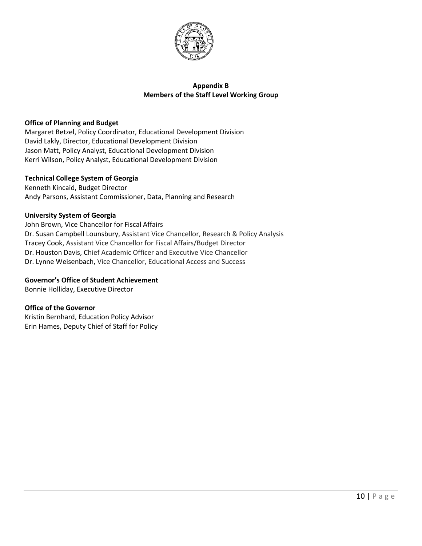

#### Appendix B Members of the Staff Level Working Group

#### Office of Planning and Budget

Margaret Betzel, Policy Coordinator, Educational Development Division David Lakly, Director, Educational Development Division Jason Matt, Policy Analyst, Educational Development Division Kerri Wilson, Policy Analyst, Educational Development Division

#### Technical College System of Georgia

Kenneth Kincaid, Budget Director Andy Parsons, Assistant Commissioner, Data, Planning and Research

#### University System of Georgia

John Brown, Vice Chancellor for Fiscal Affairs Dr. Susan Campbell Lounsbury, Assistant Vice Chancellor, Research & Policy Analysis Tracey Cook, Assistant Vice Chancellor for Fiscal Affairs/Budget Director Dr. Houston Davis, Chief Academic Officer and Executive Vice Chancellor Dr. Lynne Weisenbach, Vice Chancellor, Educational Access and Success

#### Governor's Office of Student Achievement

Bonnie Holliday, Executive Director

#### Office of the Governor

Kristin Bernhard, Education Policy Advisor Erin Hames, Deputy Chief of Staff for Policy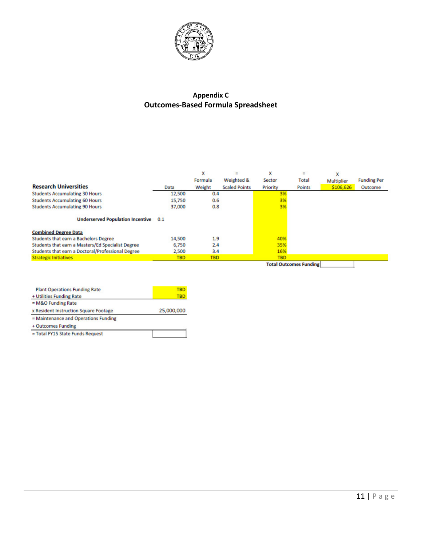

# Appendix C Outcomes-Based Formula Spreadsheet

| <b>Research Universities</b><br><b>Students Accumulating 30 Hours</b><br><b>Students Accumulating 60 Hours</b> | Data<br>12,500<br>15,750 | x<br>Formula<br>Weight<br>0.4<br>0.6 | $\equiv$<br>Weighted &<br><b>Scaled Points</b> | x<br>Sector<br>Priority<br>3%<br>3% | ٠<br>Total<br><b>Points</b>   | x<br><b>Multiplier</b><br>\$106,626 | <b>Funding Per</b><br>Outcome |
|----------------------------------------------------------------------------------------------------------------|--------------------------|--------------------------------------|------------------------------------------------|-------------------------------------|-------------------------------|-------------------------------------|-------------------------------|
| <b>Students Accumulating 90 Hours</b><br>Underserved Population Incentive 0.1                                  | 37,000                   | 0.8                                  |                                                | 3%                                  |                               |                                     |                               |
| <b>Combined Degree Data</b>                                                                                    |                          |                                      |                                                |                                     |                               |                                     |                               |
| Students that earn a Bachelors Degree                                                                          | 14,500                   | 1.9                                  |                                                | 40%                                 |                               |                                     |                               |
| Students that earn a Masters/Ed Specialist Degree                                                              | 6,750                    | 2.4                                  |                                                | 35%                                 |                               |                                     |                               |
| Students that earn a Doctoral/Professional Degree                                                              | 2,500                    | 3.4                                  |                                                | 16%                                 |                               |                                     |                               |
| <b>Strategic Initiatives</b>                                                                                   | <b>TBD</b>               | <b>TBD</b>                           |                                                | <b>TBD</b>                          |                               |                                     |                               |
|                                                                                                                |                          |                                      |                                                |                                     | <b>Total Outcomes Funding</b> |                                     |                               |

| <b>Plant Operations Funding Rate</b>  | TBD        |
|---------------------------------------|------------|
| + Utilities Funding Rate              | TBD        |
| $= M&O$ Funding Rate                  |            |
| x Resident Instruction Square Footage | 25,000,000 |
| = Maintenance and Operations Funding  |            |
| + Outcomes Funding                    |            |
| = Total FY15 State Funds Request      |            |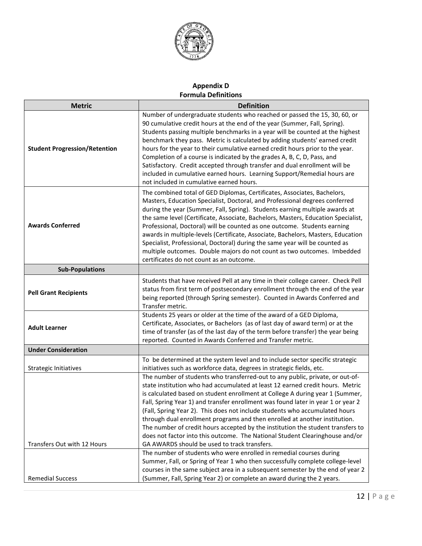

# Appendix D Formula Definitions

| <b>Metric</b>                        | <b>Definition</b>                                                                                                                                                                                                                                                                                                                                                                                                                                                                                                                                                                                                                                                                                                   |
|--------------------------------------|---------------------------------------------------------------------------------------------------------------------------------------------------------------------------------------------------------------------------------------------------------------------------------------------------------------------------------------------------------------------------------------------------------------------------------------------------------------------------------------------------------------------------------------------------------------------------------------------------------------------------------------------------------------------------------------------------------------------|
| <b>Student Progression/Retention</b> | Number of undergraduate students who reached or passed the 15, 30, 60, or<br>90 cumulative credit hours at the end of the year (Summer, Fall, Spring).<br>Students passing multiple benchmarks in a year will be counted at the highest<br>benchmark they pass. Metric is calculated by adding students' earned credit<br>hours for the year to their cumulative earned credit hours prior to the year.<br>Completion of a course is indicated by the grades A, B, C, D, Pass, and<br>Satisfactory. Credit accepted through transfer and dual enrollment will be<br>included in cumulative earned hours. Learning Support/Remedial hours are<br>not included in cumulative earned hours.                            |
| <b>Awards Conferred</b>              | The combined total of GED Diplomas, Certificates, Associates, Bachelors,<br>Masters, Education Specialist, Doctoral, and Professional degrees conferred<br>during the year (Summer, Fall, Spring). Students earning multiple awards at<br>the same level (Certificate, Associate, Bachelors, Masters, Education Specialist,<br>Professional, Doctoral) will be counted as one outcome. Students earning<br>awards in multiple-levels (Certificate, Associate, Bachelors, Masters, Education<br>Specialist, Professional, Doctoral) during the same year will be counted as<br>multiple outcomes. Double majors do not count as two outcomes. Imbedded<br>certificates do not count as an outcome.                   |
| <b>Sub-Populations</b>               |                                                                                                                                                                                                                                                                                                                                                                                                                                                                                                                                                                                                                                                                                                                     |
| <b>Pell Grant Recipients</b>         | Students that have received Pell at any time in their college career. Check Pell<br>status from first term of postsecondary enrollment through the end of the year<br>being reported (through Spring semester). Counted in Awards Conferred and<br>Transfer metric.                                                                                                                                                                                                                                                                                                                                                                                                                                                 |
| <b>Adult Learner</b>                 | Students 25 years or older at the time of the award of a GED Diploma,<br>Certificate, Associates, or Bachelors (as of last day of award term) or at the<br>time of transfer (as of the last day of the term before transfer) the year being<br>reported. Counted in Awards Conferred and Transfer metric.                                                                                                                                                                                                                                                                                                                                                                                                           |
| <b>Under Consideration</b>           |                                                                                                                                                                                                                                                                                                                                                                                                                                                                                                                                                                                                                                                                                                                     |
| Strategic Initiatives                | To be determined at the system level and to include sector specific strategic<br>initiatives such as workforce data, degrees in strategic fields, etc.                                                                                                                                                                                                                                                                                                                                                                                                                                                                                                                                                              |
| Transfers Out with 12 Hours          | The number of students who transferred-out to any public, private, or out-of-<br>state institution who had accumulated at least 12 earned credit hours. Metric<br>is calculated based on student enrollment at College A during year 1 (Summer,<br>Fall, Spring Year 1) and transfer enrollment was found later in year 1 or year 2<br>(Fall, Spring Year 2). This does not include students who accumulated hours<br>through dual enrollment programs and then enrolled at another institution.<br>The number of credit hours accepted by the institution the student transfers to<br>does not factor into this outcome. The National Student Clearinghouse and/or<br>GA AWARDS should be used to track transfers. |
|                                      | The number of students who were enrolled in remedial courses during<br>Summer, Fall, or Spring of Year 1 who then successfully complete college-level                                                                                                                                                                                                                                                                                                                                                                                                                                                                                                                                                               |
| <b>Remedial Success</b>              | courses in the same subject area in a subsequent semester by the end of year 2<br>(Summer, Fall, Spring Year 2) or complete an award during the 2 years.                                                                                                                                                                                                                                                                                                                                                                                                                                                                                                                                                            |